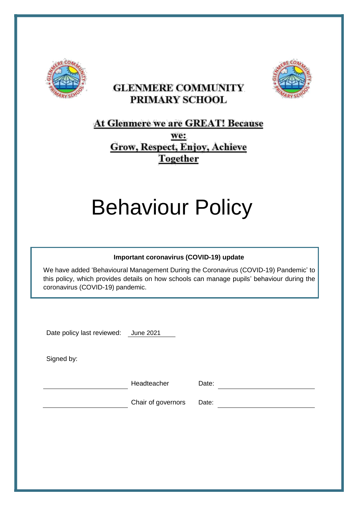

# **GLENMERE COMMUNITY** PRIMARY SCHOOL



# At Glenmere we are GREAT! Because

we: Grow, Respect, Enjoy, Achieve **Together** 

# Behaviour Policy

#### **Important coronavirus (COVID-19) update**

We have added 'Behavioural Management During the Coronavirus (COVID-19) Pandemic' to this policy, which provides details on how schools can manage pupils' behaviour during the coronavirus (COVID-19) pandemic.

Date policy last reviewed: June 2021

Signed by:

Headteacher Date:

Chair of governors Date: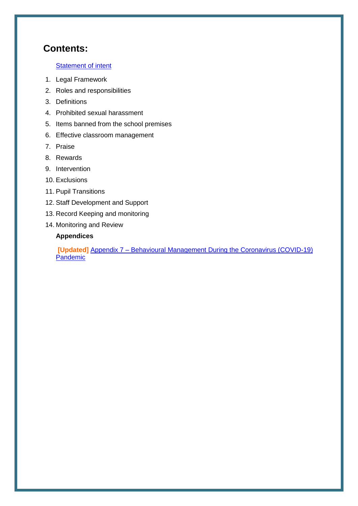# **Contents:**

#### [Statement of intent](#page-2-0)

- 1. Legal Framework
- 2. Roles and responsibilities
- 3. Definitions
- 4. Prohibited sexual harassment
- 5. Items banned from the school premises
- 6. Effective classroom management
- 7. Praise
- 8. Rewards
- 9. Intervention
- 10. Exclusions
- 11. Pupil Transitions
- 12. Staff Development and Support
- 13. Record Keeping and monitoring
- 14. Monitoring and Review

#### **Appendices**

**[Updated]** Appendix 7 – [Behavioural Management During the Coronavirus \(COVID-19\)](#page-15-0) **[Pandemic](#page-15-0)**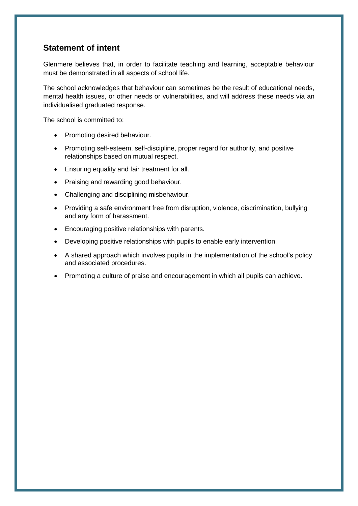## <span id="page-2-0"></span>**Statement of intent**

Glenmere believes that, in order to facilitate teaching and learning, acceptable behaviour must be demonstrated in all aspects of school life.

The school acknowledges that behaviour can sometimes be the result of educational needs, mental health issues, or other needs or vulnerabilities, and will address these needs via an individualised graduated response.

The school is committed to:

- Promoting desired behaviour.
- Promoting self-esteem, self-discipline, proper regard for authority, and positive relationships based on mutual respect.
- Ensuring equality and fair treatment for all.
- Praising and rewarding good behaviour.
- Challenging and disciplining misbehaviour.
- Providing a safe environment free from disruption, violence, discrimination, bullying and any form of harassment.
- Encouraging positive relationships with parents.
- Developing positive relationships with pupils to enable early intervention.
- A shared approach which involves pupils in the implementation of the school's policy and associated procedures.
- Promoting a culture of praise and encouragement in which all pupils can achieve.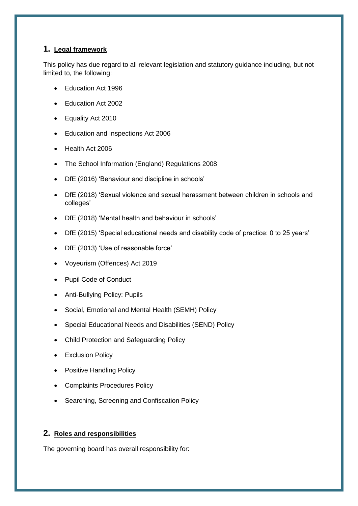#### **1. Legal framework**

This policy has due regard to all relevant legislation and statutory guidance including, but not limited to, the following:

- Education Act 1996
- Education Act 2002
- Equality Act 2010
- Education and Inspections Act 2006
- Health Act 2006
- The School Information (England) Regulations 2008
- DfE (2016) 'Behaviour and discipline in schools'
- DfE (2018) 'Sexual violence and sexual harassment between children in schools and colleges'
- DfE (2018) 'Mental health and behaviour in schools'
- DfE (2015) 'Special educational needs and disability code of practice: 0 to 25 years'
- DfE (2013) 'Use of reasonable force'
- Voyeurism (Offences) Act 2019
- Pupil Code of Conduct
- Anti-Bullying Policy: Pupils
- Social, Emotional and Mental Health (SEMH) Policy
- Special Educational Needs and Disabilities (SEND) Policy
- Child Protection and Safeguarding Policy
- Exclusion Policy
- Positive Handling Policy
- Complaints Procedures Policy
- Searching, Screening and Confiscation Policy

#### **2. Roles and responsibilities**

The governing board has overall responsibility for: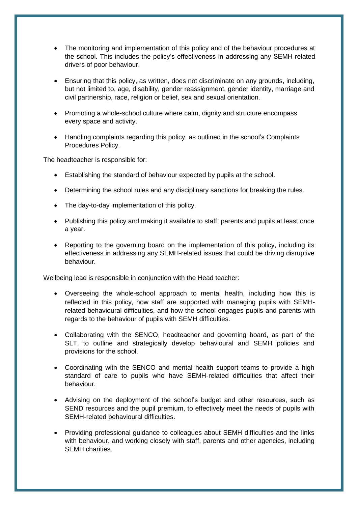- The monitoring and implementation of this policy and of the behaviour procedures at the school. This includes the policy's effectiveness in addressing any SEMH-related drivers of poor behaviour.
- Ensuring that this policy, as written, does not discriminate on any grounds, including, but not limited to, age, disability, gender reassignment, gender identity, marriage and civil partnership, race, religion or belief, sex and sexual orientation.
- Promoting a whole-school culture where calm, dignity and structure encompass every space and activity.
- Handling complaints regarding this policy, as outlined in the school's Complaints Procedures Policy.

The headteacher is responsible for:

- Establishing the standard of behaviour expected by pupils at the school.
- Determining the school rules and any disciplinary sanctions for breaking the rules.
- The day-to-day implementation of this policy.
- Publishing this policy and making it available to staff, parents and pupils at least once a year.
- Reporting to the governing board on the implementation of this policy, including its effectiveness in addressing any SEMH-related issues that could be driving disruptive behaviour.

#### Wellbeing lead is responsible in conjunction with the Head teacher:

- Overseeing the whole-school approach to mental health, including how this is reflected in this policy, how staff are supported with managing pupils with SEMHrelated behavioural difficulties, and how the school engages pupils and parents with regards to the behaviour of pupils with SEMH difficulties.
- Collaborating with the SENCO, headteacher and governing board, as part of the SLT, to outline and strategically develop behavioural and SEMH policies and provisions for the school.
- Coordinating with the SENCO and mental health support teams to provide a high standard of care to pupils who have SEMH-related difficulties that affect their behaviour.
- Advising on the deployment of the school's budget and other resources, such as SEND resources and the pupil premium, to effectively meet the needs of pupils with SEMH-related behavioural difficulties.
- Providing professional guidance to colleagues about SEMH difficulties and the links with behaviour, and working closely with staff, parents and other agencies, including SEMH charities.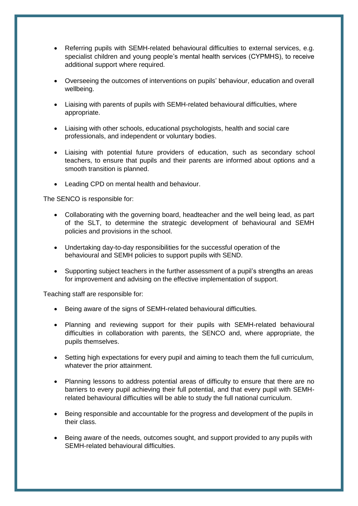- Referring pupils with SEMH-related behavioural difficulties to external services, e.g. specialist children and young people's mental health services (CYPMHS), to receive additional support where required.
- Overseeing the outcomes of interventions on pupils' behaviour, education and overall wellbeing.
- Liaising with parents of pupils with SEMH-related behavioural difficulties, where appropriate.
- Liaising with other schools, educational psychologists, health and social care professionals, and independent or voluntary bodies.
- Liaising with potential future providers of education, such as secondary school teachers, to ensure that pupils and their parents are informed about options and a smooth transition is planned.
- Leading CPD on mental health and behaviour.

The SENCO is responsible for:

- Collaborating with the governing board, headteacher and the well being lead, as part of the SLT, to determine the strategic development of behavioural and SEMH policies and provisions in the school.
- Undertaking day-to-day responsibilities for the successful operation of the behavioural and SEMH policies to support pupils with SEND.
- Supporting subject teachers in the further assessment of a pupil's strengths an areas for improvement and advising on the effective implementation of support.

Teaching staff are responsible for:

- Being aware of the signs of SEMH-related behavioural difficulties.
- Planning and reviewing support for their pupils with SEMH-related behavioural difficulties in collaboration with parents, the SENCO and, where appropriate, the pupils themselves.
- Setting high expectations for every pupil and aiming to teach them the full curriculum, whatever the prior attainment.
- Planning lessons to address potential areas of difficulty to ensure that there are no barriers to every pupil achieving their full potential, and that every pupil with SEMHrelated behavioural difficulties will be able to study the full national curriculum.
- Being responsible and accountable for the progress and development of the pupils in their class.
- Being aware of the needs, outcomes sought, and support provided to any pupils with SEMH-related behavioural difficulties.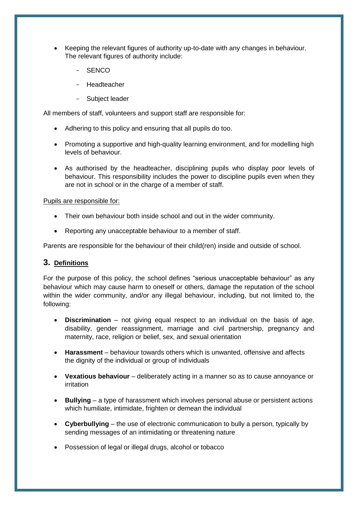- Keeping the relevant figures of authority up-to-date with any changes in behaviour. The relevant figures of authority include:
	- SENCO
	- **Headteacher**
	- Subject leader

All members of staff, volunteers and support staff are responsible for:

- Adhering to this policy and ensuring that all pupils do too.
- Promoting a supportive and high-quality learning environment, and for modelling high levels of behaviour.
- As authorised by the headteacher, disciplining pupils who display poor levels of behaviour. This responsibility includes the power to discipline pupils even when they are not in school or in the charge of a member of staff.

#### Pupils are responsible for:

- Their own behaviour both inside school and out in the wider community.
- Reporting any unacceptable behaviour to a member of staff.

Parents are responsible for the behaviour of their child(ren) inside and outside of school.

#### **3. Definitions**

For the purpose of this policy, the school defines "serious unacceptable behaviour" as any behaviour which may cause harm to oneself or others, damage the reputation of the school within the wider community, and/or any illegal behaviour, including, but not limited to, the following:

- **Discrimination** not giving equal respect to an individual on the basis of age, disability, gender reassignment, marriage and civil partnership, pregnancy and maternity, race, religion or belief, sex, and sexual orientation
- **Harassment** behaviour towards others which is unwanted, offensive and affects the dignity of the individual or group of individuals
- **Vexatious behaviour** deliberately acting in a manner so as to cause annoyance or irritation
- **Bullying** a type of harassment which involves personal abuse or persistent actions which humiliate, intimidate, frighten or demean the individual
- **Cyberbullying** the use of electronic communication to bully a person, typically by sending messages of an intimidating or threatening nature
- Possession of legal or illegal drugs, alcohol or tobacco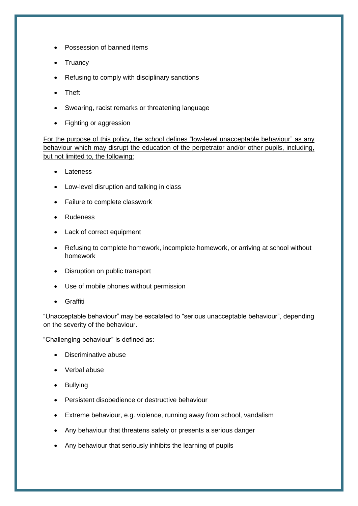- Possession of banned items
- **Truancy**
- Refusing to comply with disciplinary sanctions
- Theft
- Swearing, racist remarks or threatening language
- Fighting or aggression

For the purpose of this policy, the school defines "low-level unacceptable behaviour" as any behaviour which may disrupt the education of the perpetrator and/or other pupils, including, but not limited to, the following:

- Lateness
- Low-level disruption and talking in class
- Failure to complete classwork
- Rudeness
- Lack of correct equipment
- Refusing to complete homework, incomplete homework, or arriving at school without homework
- Disruption on public transport
- Use of mobile phones without permission
- **•** Graffiti

"Unacceptable behaviour" may be escalated to "serious unacceptable behaviour", depending on the severity of the behaviour.

"Challenging behaviour" is defined as:

- Discriminative abuse
- Verbal abuse
- Bullvina
- **•** Persistent disobedience or destructive behaviour
- Extreme behaviour, e.g. violence, running away from school, vandalism
- Any behaviour that threatens safety or presents a serious danger
- Any behaviour that seriously inhibits the learning of pupils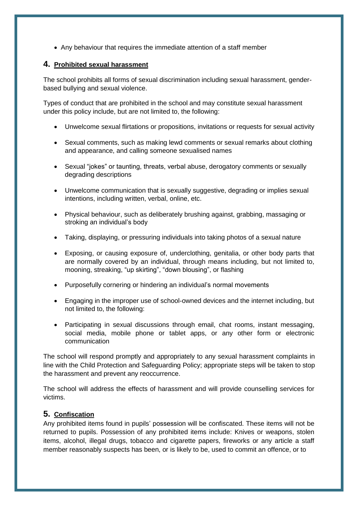Any behaviour that requires the immediate attention of a staff member

#### **4. Prohibited sexual harassment**

The school prohibits all forms of sexual discrimination including sexual harassment, genderbased bullying and sexual violence.

Types of conduct that are prohibited in the school and may constitute sexual harassment under this policy include, but are not limited to, the following:

- Unwelcome sexual flirtations or propositions, invitations or requests for sexual activity
- Sexual comments, such as making lewd comments or sexual remarks about clothing and appearance, and calling someone sexualised names
- Sexual "jokes" or taunting, threats, verbal abuse, derogatory comments or sexually degrading descriptions
- Unwelcome communication that is sexually suggestive, degrading or implies sexual intentions, including written, verbal, online, etc.
- Physical behaviour, such as deliberately brushing against, grabbing, massaging or stroking an individual's body
- Taking, displaying, or pressuring individuals into taking photos of a sexual nature
- Exposing, or causing exposure of, underclothing, genitalia, or other body parts that are normally covered by an individual, through means including, but not limited to, mooning, streaking, "up skirting", "down blousing", or flashing
- Purposefully cornering or hindering an individual's normal movements
- Engaging in the improper use of school-owned devices and the internet including, but not limited to, the following:
- Participating in sexual discussions through email, chat rooms, instant messaging, social media, mobile phone or tablet apps, or any other form or electronic communication

The school will respond promptly and appropriately to any sexual harassment complaints in line with the Child Protection and Safeguarding Policy; appropriate steps will be taken to stop the harassment and prevent any reoccurrence.

The school will address the effects of harassment and will provide counselling services for victims.

#### **5. Confiscation**

Any prohibited items found in pupils' possession will be confiscated. These items will not be returned to pupils. Possession of any prohibited items include: Knives or weapons, stolen items, alcohol, illegal drugs, tobacco and cigarette papers, fireworks or any article a staff member reasonably suspects has been, or is likely to be, used to commit an offence, or to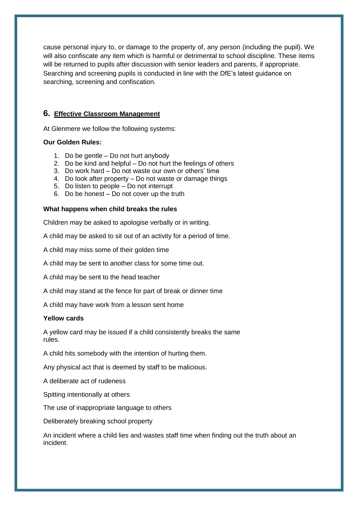cause personal injury to, or damage to the property of, any person (including the pupil). We will also confiscate any item which is harmful or detrimental to school discipline. These items will be returned to pupils after discussion with senior leaders and parents, if appropriate. Searching and screening pupils is conducted in line with the DfE's latest guidance on searching, screening and confiscation.

#### **6. Effective Classroom Management**

At Glenmere we follow the following systems:

#### **Our Golden Rules:**

- 1. Do be gentle Do not hurt anybody
- 2. Do be kind and helpful Do not hurt the feelings of others
- 3. Do work hard Do not waste our own or others' time
- 4. Do look after property Do not waste or damage things
- 5. Do listen to people Do not interrupt
- 6. Do be honest Do not cover up the truth

#### **What happens when child breaks the rules**

Children may be asked to apologise verbally or in writing.

A child may be asked to sit out of an activity for a period of time.

A child may miss some of their golden time

A child may be sent to another class for some time out.

A child may be sent to the head teacher

A child may stand at the fence for part of break or dinner time

A child may have work from a lesson sent home

#### **Yellow cards**

A yellow card may be issued if a child consistently breaks the same rules.

A child hits somebody with the intention of hurting them.

Any physical act that is deemed by staff to be malicious.

A deliberate act of rudeness

Spitting intentionally at others

The use of inappropriate language to others

Deliberately breaking school property

An incident where a child lies and wastes staff time when finding out the truth about an incident.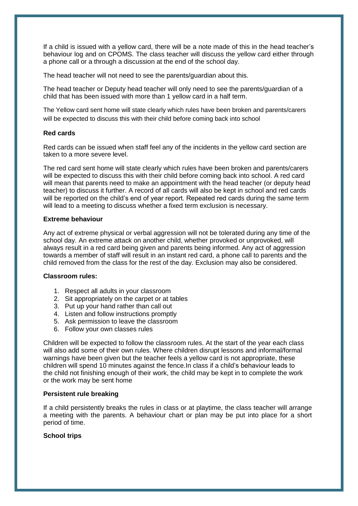If a child is issued with a yellow card, there will be a note made of this in the head teacher's behaviour log and on CPOMS. The class teacher will discuss the yellow card either through a phone call or a through a discussion at the end of the school day.

The head teacher will not need to see the parents/guardian about this.

The head teacher or Deputy head teacher will only need to see the parents/guardian of a child that has been issued with more than 1 yellow card in a half term.

The Yellow card sent home will state clearly which rules have been broken and parents/carers will be expected to discuss this with their child before coming back into school

#### **Red cards**

Red cards can be issued when staff feel any of the incidents in the yellow card section are taken to a more severe level.

The red card sent home will state clearly which rules have been broken and parents/carers will be expected to discuss this with their child before coming back into school. A red card will mean that parents need to make an appointment with the head teacher (or deputy head teacher) to discuss it further. A record of all cards will also be kept in school and red cards will be reported on the child's end of year report. Repeated red cards during the same term will lead to a meeting to discuss whether a fixed term exclusion is necessary.

#### **Extreme behaviour**

Any act of extreme physical or verbal aggression will not be tolerated during any time of the school day. An extreme attack on another child, whether provoked or unprovoked, will always result in a red card being given and parents being informed. Any act of aggression towards a member of staff will result in an instant red card, a phone call to parents and the child removed from the class for the rest of the day. Exclusion may also be considered.

#### **Classroom rules:**

- 1. Respect all adults in your classroom
- 2. Sit appropriately on the carpet or at tables
- 3. Put up your hand rather than call out
- 4. Listen and follow instructions promptly
- 5. Ask permission to leave the classroom
- 6. Follow your own classes rules

Children will be expected to follow the classroom rules. At the start of the year each class will also add some of their own rules. Where children disrupt lessons and informal/formal warnings have been given but the teacher feels a yellow card is not appropriate, these children will spend 10 minutes against the fence.In class if a child's behaviour leads to the child not finishing enough of their work, the child may be kept in to complete the work or the work may be sent home

#### **Persistent rule breaking**

If a child persistently breaks the rules in class or at playtime, the class teacher will arrange a meeting with the parents. A behaviour chart or plan may be put into place for a short period of time.

#### **School trips**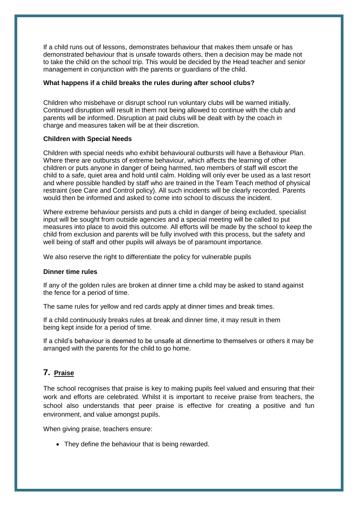If a child runs out of lessons, demonstrates behaviour that makes them unsafe or has demonstrated behaviour that is unsafe towards others, then a decision may be made not to take the child on the school trip. This would be decided by the Head teacher and senior management in conjunction with the parents or guardians of the child.

#### **What happens if a child breaks the rules during after school clubs?**

Children who misbehave or disrupt school run voluntary clubs will be warned initially. Continued disruption will result in them not being allowed to continue with the club and parents will be informed. Disruption at paid clubs will be dealt with by the coach in charge and measures taken will be at their discretion.

#### **Children with Special Needs**

Children with special needs who exhibit behavioural outbursts will have a Behaviour Plan. Where there are outbursts of extreme behaviour, which affects the learning of other children or puts anyone in danger of being harmed, two members of staff will escort the child to a safe, quiet area and hold until calm. Holding will only ever be used as a last resort and where possible handled by staff who are trained in the Team Teach method of physical restraint (see Care and Control policy). All such incidents will be clearly recorded. Parents would then be informed and asked to come into school to discuss the incident.

Where extreme behaviour persists and puts a child in danger of being excluded, specialist input will be sought from outside agencies and a special meeting will be called to put measures into place to avoid this outcome. All efforts will be made by the school to keep the child from exclusion and parents will be fully involved with this process, but the safety and well being of staff and other pupils will always be of paramount importance.

We also reserve the right to differentiate the policy for vulnerable pupils

#### **Dinner time rules**

If any of the golden rules are broken at dinner time a child may be asked to stand against the fence for a period of time.

The same rules for yellow and red cards apply at dinner times and break times.

If a child continuously breaks rules at break and dinner time, it may result in them being kept inside for a period of time.

If a child's behaviour is deemed to be unsafe at dinnertime to themselves or others it may be arranged with the parents for the child to go home.

#### **7. Praise**

The school recognises that praise is key to making pupils feel valued and ensuring that their work and efforts are celebrated. Whilst it is important to receive praise from teachers, the school also understands that peer praise is effective for creating a positive and fun environment, and value amongst pupils.

When giving praise, teachers ensure:

• They define the behaviour that is being rewarded.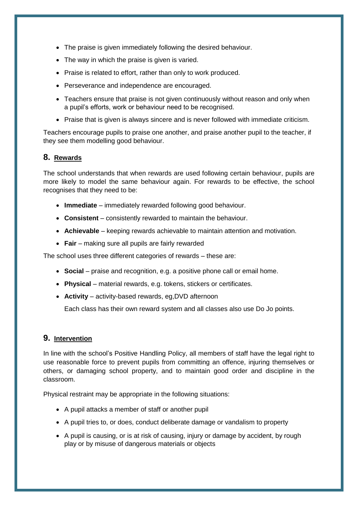- The praise is given immediately following the desired behaviour.
- The way in which the praise is given is varied.
- Praise is related to effort, rather than only to work produced.
- Perseverance and independence are encouraged.
- Teachers ensure that praise is not given continuously without reason and only when a pupil's efforts, work or behaviour need to be recognised.
- Praise that is given is always sincere and is never followed with immediate criticism.

Teachers encourage pupils to praise one another, and praise another pupil to the teacher, if they see them modelling good behaviour.

#### **8. Rewards**

The school understands that when rewards are used following certain behaviour, pupils are more likely to model the same behaviour again. For rewards to be effective, the school recognises that they need to be:

- **Immediate** immediately rewarded following good behaviour.
- **Consistent** consistently rewarded to maintain the behaviour.
- **Achievable** keeping rewards achievable to maintain attention and motivation.
- **Fair** making sure all pupils are fairly rewarded

The school uses three different categories of rewards – these are:

- **Social** praise and recognition, e.g. a positive phone call or email home.
- **Physical** material rewards, e.g. tokens, stickers or certificates.
- **Activity** activity-based rewards, eg,DVD afternoon

Each class has their own reward system and all classes also use Do Jo points.

#### **9. Intervention**

In line with the school's Positive Handling Policy, all members of staff have the legal right to use reasonable force to prevent pupils from committing an offence, injuring themselves or others, or damaging school property, and to maintain good order and discipline in the classroom.

Physical restraint may be appropriate in the following situations:

- A pupil attacks a member of staff or another pupil
- A pupil tries to, or does, conduct deliberate damage or vandalism to property
- A pupil is causing, or is at risk of causing, injury or damage by accident, by rough play or by misuse of dangerous materials or objects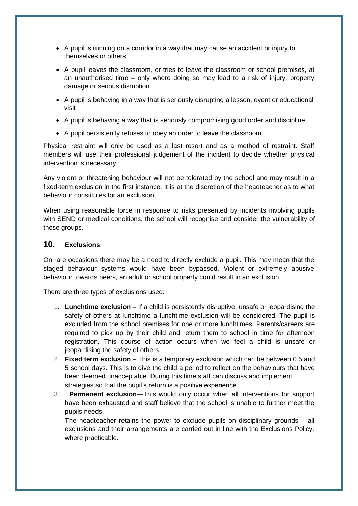- A pupil is running on a corridor in a way that may cause an accident or injury to themselves or others
- A pupil leaves the classroom, or tries to leave the classroom or school premises, at an unauthorised time – only where doing so may lead to a risk of injury, property damage or serious disruption
- A pupil is behaving in a way that is seriously disrupting a lesson, event or educational visit
- A pupil is behaving a way that is seriously compromising good order and discipline
- A pupil persistently refuses to obey an order to leave the classroom

Physical restraint will only be used as a last resort and as a method of restraint. Staff members will use their professional judgement of the incident to decide whether physical intervention is necessary.

Any violent or threatening behaviour will not be tolerated by the school and may result in a fixed-term exclusion in the first instance. It is at the discretion of the headteacher as to what behaviour constitutes for an exclusion.

When using reasonable force in response to risks presented by incidents involving pupils with SEND or medical conditions, the school will recognise and consider the vulnerability of these groups.

#### **10. Exclusions**

On rare occasions there may be a need to directly exclude a pupil. This may mean that the staged behaviour systems would have been bypassed. Violent or extremely abusive behaviour towards peers, an adult or school property could result in an exclusion.

There are three types of exclusions used:

- 1. **Lunchtime exclusion** If a child is persistently disruptive, unsafe or jeopardising the safety of others at lunchtime a lunchtime exclusion will be considered. The pupil is excluded from the school premises for one or more lunchtimes. Parents/careers are required to pick up by their child and return them to school in time for afternoon registration. This course of action occurs when we feel a child is unsafe or jeopardising the safety of others.
- 2. **Fixed term exclusion** This is a temporary exclusion which can be between 0.5 and 5 school days. This is to give the child a period to reflect on the behaviours that have been deemed unacceptable. During this time staff can discuss and implement strategies so that the pupil's return is a positive experience.
- 3. . **Permanent exclusion**—This would only occur when all interventions for support have been exhausted and staff believe that the school is unable to further meet the pupils needs.

The headteacher retains the power to exclude pupils on disciplinary grounds – all exclusions and their arrangements are carried out in line with the Exclusions Policy, where practicable.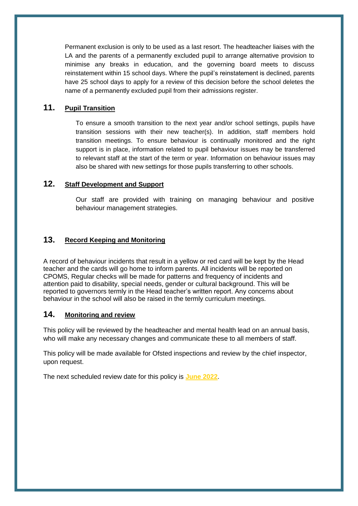Permanent exclusion is only to be used as a last resort. The headteacher liaises with the LA and the parents of a permanently excluded pupil to arrange alternative provision to minimise any breaks in education, and the governing board meets to discuss reinstatement within 15 school days. Where the pupil's reinstatement is declined, parents have 25 school days to apply for a review of this decision before the school deletes the name of a permanently excluded pupil from their admissions register.

#### **11. Pupil Transition**

To ensure a smooth transition to the next year and/or school settings, pupils have transition sessions with their new teacher(s). In addition, staff members hold transition meetings. To ensure behaviour is continually monitored and the right support is in place, information related to pupil behaviour issues may be transferred to relevant staff at the start of the term or year. Information on behaviour issues may also be shared with new settings for those pupils transferring to other schools.

#### **12. Staff Development and Support**

Our staff are provided with training on managing behaviour and positive behaviour management strategies.

#### **13. Record Keeping and Monitoring**

A record of behaviour incidents that result in a yellow or red card will be kept by the Head teacher and the cards will go home to inform parents. All incidents will be reported on CPOMS, Regular checks will be made for patterns and frequency of incidents and attention paid to disability, special needs, gender or cultural background. This will be reported to governors termly in the Head teacher's written report. Any concerns about behaviour in the school will also be raised in the termly curriculum meetings.

#### **14. Monitoring and review**

This policy will be reviewed by the headteacher and mental health lead on an annual basis, who will make any necessary changes and communicate these to all members of staff.

This policy will be made available for Ofsted inspections and review by the chief inspector, upon request.

The next scheduled review date for this policy is **June 2022**.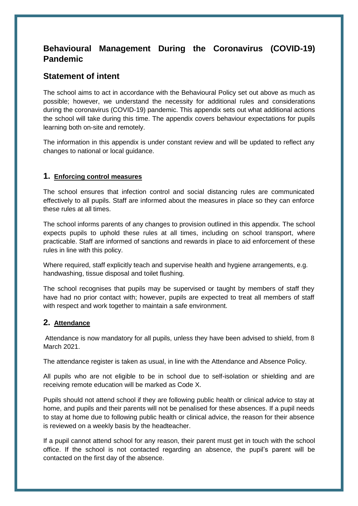## <span id="page-15-0"></span>**Behavioural Management During the Coronavirus (COVID-19) Pandemic**

## **Statement of intent**

The school aims to act in accordance with the Behavioural Policy set out above as much as possible; however, we understand the necessity for additional rules and considerations during the coronavirus (COVID-19) pandemic. This appendix sets out what additional actions the school will take during this time. The appendix covers behaviour expectations for pupils learning both on-site and remotely.

The information in this appendix is under constant review and will be updated to reflect any changes to national or local guidance.

#### **1. Enforcing control measures**

The school ensures that infection control and social distancing rules are communicated effectively to all pupils. Staff are informed about the measures in place so they can enforce these rules at all times.

The school informs parents of any changes to provision outlined in this appendix. The school expects pupils to uphold these rules at all times, including on school transport, where practicable. Staff are informed of sanctions and rewards in place to aid enforcement of these rules in line with this policy.

Where required, staff explicitly teach and supervise health and hygiene arrangements, e.g. handwashing, tissue disposal and toilet flushing.

The school recognises that pupils may be supervised or taught by members of staff they have had no prior contact with; however, pupils are expected to treat all members of staff with respect and work together to maintain a safe environment.

#### **2. Attendance**

Attendance is now mandatory for all pupils, unless they have been advised to shield, from 8 March 2021.

The attendance register is taken as usual, in line with the Attendance and Absence Policy.

All pupils who are not eligible to be in school due to self-isolation or shielding and are receiving remote education will be marked as Code X.

Pupils should not attend school if they are following public health or clinical advice to stay at home, and pupils and their parents will not be penalised for these absences. If a pupil needs to stay at home due to following public health or clinical advice, the reason for their absence is reviewed on a weekly basis by the headteacher.

If a pupil cannot attend school for any reason, their parent must get in touch with the school office. If the school is not contacted regarding an absence, the pupil's parent will be contacted on the first day of the absence.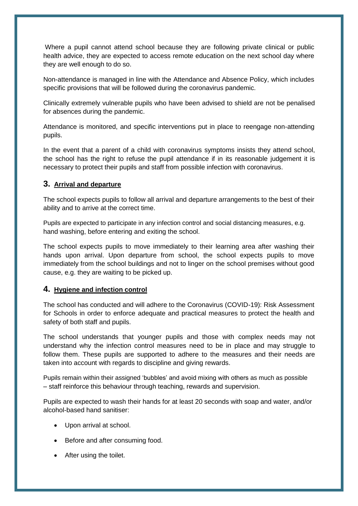Where a pupil cannot attend school because they are following private clinical or public health advice, they are expected to access remote education on the next school day where they are well enough to do so.

Non-attendance is managed in line with the Attendance and Absence Policy, which includes specific provisions that will be followed during the coronavirus pandemic.

Clinically extremely vulnerable pupils who have been advised to shield are not be penalised for absences during the pandemic.

Attendance is monitored, and specific interventions put in place to reengage non-attending pupils.

In the event that a parent of a child with coronavirus symptoms insists they attend school, the school has the right to refuse the pupil attendance if in its reasonable judgement it is necessary to protect their pupils and staff from possible infection with coronavirus.

#### **3. Arrival and departure**

The school expects pupils to follow all arrival and departure arrangements to the best of their ability and to arrive at the correct time.

Pupils are expected to participate in any infection control and social distancing measures, e.g. hand washing, before entering and exiting the school.

The school expects pupils to move immediately to their learning area after washing their hands upon arrival. Upon departure from school, the school expects pupils to move immediately from the school buildings and not to linger on the school premises without good cause, e.g. they are waiting to be picked up.

#### **4. Hygiene and infection control**

The school has conducted and will adhere to the Coronavirus (COVID-19): Risk Assessment for Schools in order to enforce adequate and practical measures to protect the health and safety of both staff and pupils.

The school understands that younger pupils and those with complex needs may not understand why the infection control measures need to be in place and may struggle to follow them. These pupils are supported to adhere to the measures and their needs are taken into account with regards to discipline and giving rewards.

Pupils remain within their assigned 'bubbles' and avoid mixing with others as much as possible – staff reinforce this behaviour through teaching, rewards and supervision.

Pupils are expected to wash their hands for at least 20 seconds with soap and water, and/or alcohol-based hand sanitiser:

- Upon arrival at school.
- Before and after consuming food.
- After using the toilet.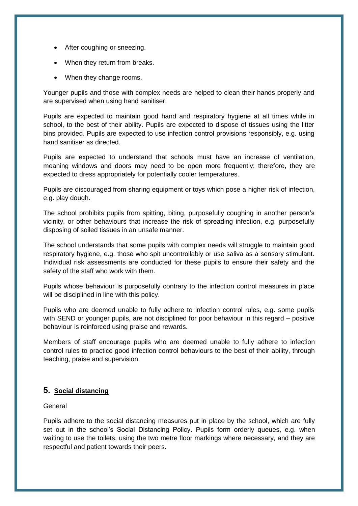- After coughing or sneezing.
- When they return from breaks.
- When they change rooms.

Younger pupils and those with complex needs are helped to clean their hands properly and are supervised when using hand sanitiser.

Pupils are expected to maintain good hand and respiratory hygiene at all times while in school, to the best of their ability. Pupils are expected to dispose of tissues using the litter bins provided. Pupils are expected to use infection control provisions responsibly, e.g. using hand sanitiser as directed.

Pupils are expected to understand that schools must have an increase of ventilation, meaning windows and doors may need to be open more frequently; therefore, they are expected to dress appropriately for potentially cooler temperatures.

Pupils are discouraged from sharing equipment or toys which pose a higher risk of infection, e.g. play dough.

The school prohibits pupils from spitting, biting, purposefully coughing in another person's vicinity, or other behaviours that increase the risk of spreading infection, e.g. purposefully disposing of soiled tissues in an unsafe manner.

The school understands that some pupils with complex needs will struggle to maintain good respiratory hygiene, e.g. those who spit uncontrollably or use saliva as a sensory stimulant. Individual risk assessments are conducted for these pupils to ensure their safety and the safety of the staff who work with them.

Pupils whose behaviour is purposefully contrary to the infection control measures in place will be disciplined in line with this policy.

Pupils who are deemed unable to fully adhere to infection control rules, e.g. some pupils with SEND or younger pupils, are not disciplined for poor behaviour in this regard – positive behaviour is reinforced using praise and rewards.

Members of staff encourage pupils who are deemed unable to fully adhere to infection control rules to practice good infection control behaviours to the best of their ability, through teaching, praise and supervision.

#### **5. Social distancing**

General

Pupils adhere to the social distancing measures put in place by the school, which are fully set out in the school's Social Distancing Policy. Pupils form orderly queues, e.g. when waiting to use the toilets, using the two metre floor markings where necessary, and they are respectful and patient towards their peers.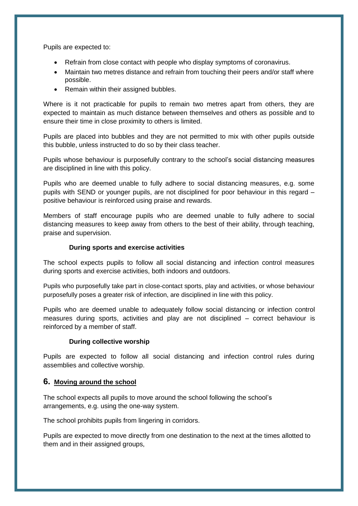Pupils are expected to:

- Refrain from close contact with people who display symptoms of coronavirus.
- Maintain two metres distance and refrain from touching their peers and/or staff where possible.
- Remain within their assigned bubbles.

Where is it not practicable for pupils to remain two metres apart from others, they are expected to maintain as much distance between themselves and others as possible and to ensure their time in close proximity to others is limited.

Pupils are placed into bubbles and they are not permitted to mix with other pupils outside this bubble, unless instructed to do so by their class teacher.

Pupils whose behaviour is purposefully contrary to the school's social distancing measures are disciplined in line with this policy.

Pupils who are deemed unable to fully adhere to social distancing measures, e.g. some pupils with SEND or younger pupils, are not disciplined for poor behaviour in this regard – positive behaviour is reinforced using praise and rewards.

Members of staff encourage pupils who are deemed unable to fully adhere to social distancing measures to keep away from others to the best of their ability, through teaching, praise and supervision.

#### **During sports and exercise activities**

The school expects pupils to follow all social distancing and infection control measures during sports and exercise activities, both indoors and outdoors.

Pupils who purposefully take part in close-contact sports, play and activities, or whose behaviour purposefully poses a greater risk of infection, are disciplined in line with this policy.

Pupils who are deemed unable to adequately follow social distancing or infection control measures during sports, activities and play are not disciplined – correct behaviour is reinforced by a member of staff.

#### **During collective worship**

Pupils are expected to follow all social distancing and infection control rules during assemblies and collective worship.

#### **6. Moving around the school**

The school expects all pupils to move around the school following the school's arrangements, e.g. using the one-way system.

The school prohibits pupils from lingering in corridors.

Pupils are expected to move directly from one destination to the next at the times allotted to them and in their assigned groups,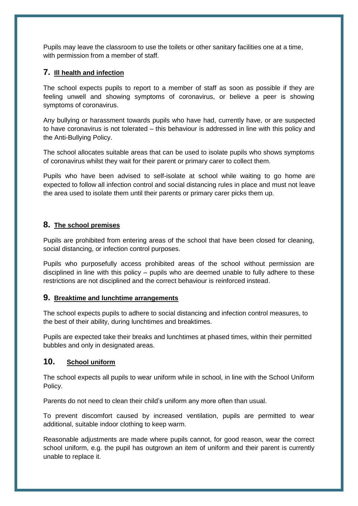Pupils may leave the classroom to use the toilets or other sanitary facilities one at a time, with permission from a member of staff.

#### **7. Ill health and infection**

The school expects pupils to report to a member of staff as soon as possible if they are feeling unwell and showing symptoms of coronavirus, or believe a peer is showing symptoms of coronavirus.

Any bullying or harassment towards pupils who have had, currently have, or are suspected to have coronavirus is not tolerated – this behaviour is addressed in line with this policy and the Anti-Bullying Policy.

The school allocates suitable areas that can be used to isolate pupils who shows symptoms of coronavirus whilst they wait for their parent or primary carer to collect them.

Pupils who have been advised to self-isolate at school while waiting to go home are expected to follow all infection control and social distancing rules in place and must not leave the area used to isolate them until their parents or primary carer picks them up.

#### **8. The school premises**

Pupils are prohibited from entering areas of the school that have been closed for cleaning, social distancing, or infection control purposes.

Pupils who purposefully access prohibited areas of the school without permission are disciplined in line with this policy – pupils who are deemed unable to fully adhere to these restrictions are not disciplined and the correct behaviour is reinforced instead.

#### **9. Breaktime and lunchtime arrangements**

The school expects pupils to adhere to social distancing and infection control measures, to the best of their ability, during lunchtimes and breaktimes.

Pupils are expected take their breaks and lunchtimes at phased times, within their permitted bubbles and only in designated areas.

#### **10. School uniform**

The school expects all pupils to wear uniform while in school, in line with the School Uniform Policy.

Parents do not need to clean their child's uniform any more often than usual.

To prevent discomfort caused by increased ventilation, pupils are permitted to wear additional, suitable indoor clothing to keep warm.

Reasonable adjustments are made where pupils cannot, for good reason, wear the correct school uniform, e.g. the pupil has outgrown an item of uniform and their parent is currently unable to replace it.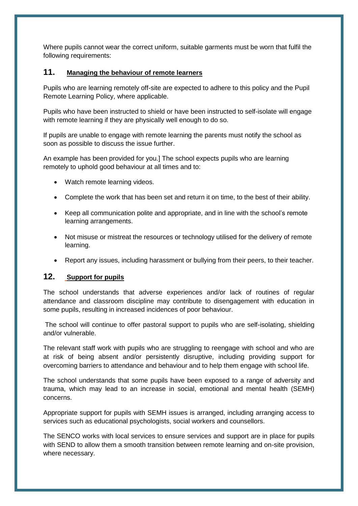Where pupils cannot wear the correct uniform, suitable garments must be worn that fulfil the following requirements:

#### **11. Managing the behaviour of remote learners**

Pupils who are learning remotely off-site are expected to adhere to this policy and the Pupil Remote Learning Policy, where applicable.

Pupils who have been instructed to shield or have been instructed to self-isolate will engage with remote learning if they are physically well enough to do so.

If pupils are unable to engage with remote learning the parents must notify the school as soon as possible to discuss the issue further.

An example has been provided for you.] The school expects pupils who are learning remotely to uphold good behaviour at all times and to:

- Watch remote learning videos.
- Complete the work that has been set and return it on time, to the best of their ability.
- Keep all communication polite and appropriate, and in line with the school's remote learning arrangements.
- Not misuse or mistreat the resources or technology utilised for the delivery of remote learning.
- Report any issues, including harassment or bullying from their peers, to their teacher.

### **12. Support for pupils**

The school understands that adverse experiences and/or lack of routines of regular attendance and classroom discipline may contribute to disengagement with education in some pupils, resulting in increased incidences of poor behaviour.

The school will continue to offer pastoral support to pupils who are self-isolating, shielding and/or vulnerable.

The relevant staff work with pupils who are struggling to reengage with school and who are at risk of being absent and/or persistently disruptive, including providing support for overcoming barriers to attendance and behaviour and to help them engage with school life.

The school understands that some pupils have been exposed to a range of adversity and trauma, which may lead to an increase in social, emotional and mental health (SEMH) concerns.

Appropriate support for pupils with SEMH issues is arranged, including arranging access to services such as educational psychologists, social workers and counsellors.

The SENCO works with local services to ensure services and support are in place for pupils with SEND to allow them a smooth transition between remote learning and on-site provision, where necessary.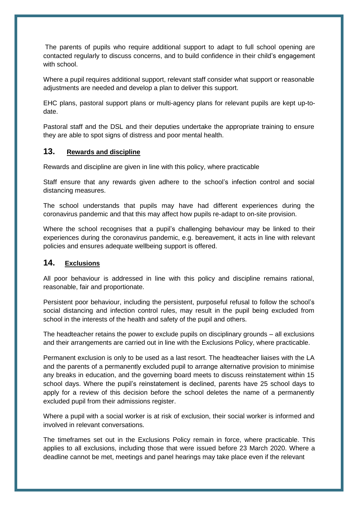The parents of pupils who require additional support to adapt to full school opening are contacted regularly to discuss concerns, and to build confidence in their child's engagement with school.

Where a pupil requires additional support, relevant staff consider what support or reasonable adjustments are needed and develop a plan to deliver this support.

EHC plans, pastoral support plans or multi-agency plans for relevant pupils are kept up-todate.

Pastoral staff and the DSL and their deputies undertake the appropriate training to ensure they are able to spot signs of distress and poor mental health.

#### **13. Rewards and discipline**

Rewards and discipline are given in line with this policy, where practicable

Staff ensure that any rewards given adhere to the school's infection control and social distancing measures.

The school understands that pupils may have had different experiences during the coronavirus pandemic and that this may affect how pupils re-adapt to on-site provision.

Where the school recognises that a pupil's challenging behaviour may be linked to their experiences during the coronavirus pandemic, e.g. bereavement, it acts in line with relevant policies and ensures adequate wellbeing support is offered.

#### **14. Exclusions**

All poor behaviour is addressed in line with this policy and discipline remains rational, reasonable, fair and proportionate.

Persistent poor behaviour, including the persistent, purposeful refusal to follow the school's social distancing and infection control rules, may result in the pupil being excluded from school in the interests of the health and safety of the pupil and others.

The headteacher retains the power to exclude pupils on disciplinary grounds – all exclusions and their arrangements are carried out in line with the Exclusions Policy, where practicable.

Permanent exclusion is only to be used as a last resort. The headteacher liaises with the LA and the parents of a permanently excluded pupil to arrange alternative provision to minimise any breaks in education, and the governing board meets to discuss reinstatement within 15 school days. Where the pupil's reinstatement is declined, parents have 25 school days to apply for a review of this decision before the school deletes the name of a permanently excluded pupil from their admissions register.

Where a pupil with a social worker is at risk of exclusion, their social worker is informed and involved in relevant conversations.

The timeframes set out in the Exclusions Policy remain in force, where practicable. This applies to all exclusions, including those that were issued before 23 March 2020. Where a deadline cannot be met, meetings and panel hearings may take place even if the relevant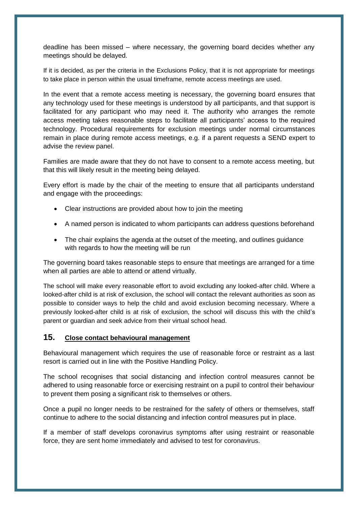deadline has been missed – where necessary, the governing board decides whether any meetings should be delayed.

If it is decided, as per the criteria in the Exclusions Policy, that it is not appropriate for meetings to take place in person within the usual timeframe, remote access meetings are used.

In the event that a remote access meeting is necessary, the governing board ensures that any technology used for these meetings is understood by all participants, and that support is facilitated for any participant who may need it. The authority who arranges the remote access meeting takes reasonable steps to facilitate all participants' access to the required technology. Procedural requirements for exclusion meetings under normal circumstances remain in place during remote access meetings, e.g. if a parent requests a SEND expert to advise the review panel.

Families are made aware that they do not have to consent to a remote access meeting, but that this will likely result in the meeting being delayed.

Every effort is made by the chair of the meeting to ensure that all participants understand and engage with the proceedings:

- Clear instructions are provided about how to join the meeting
- A named person is indicated to whom participants can address questions beforehand
- The chair explains the agenda at the outset of the meeting, and outlines guidance with regards to how the meeting will be run

The governing board takes reasonable steps to ensure that meetings are arranged for a time when all parties are able to attend or attend virtually.

The school will make every reasonable effort to avoid excluding any looked-after child. Where a looked-after child is at risk of exclusion, the school will contact the relevant authorities as soon as possible to consider ways to help the child and avoid exclusion becoming necessary. Where a previously looked-after child is at risk of exclusion, the school will discuss this with the child's parent or guardian and seek advice from their virtual school head.

#### **15. Close contact behavioural management**

Behavioural management which requires the use of reasonable force or restraint as a last resort is carried out in line with the Positive Handling Policy.

The school recognises that social distancing and infection control measures cannot be adhered to using reasonable force or exercising restraint on a pupil to control their behaviour to prevent them posing a significant risk to themselves or others.

Once a pupil no longer needs to be restrained for the safety of others or themselves, staff continue to adhere to the social distancing and infection control measures put in place.

If a member of staff develops coronavirus symptoms after using restraint or reasonable force, they are sent home immediately and advised to test for coronavirus.